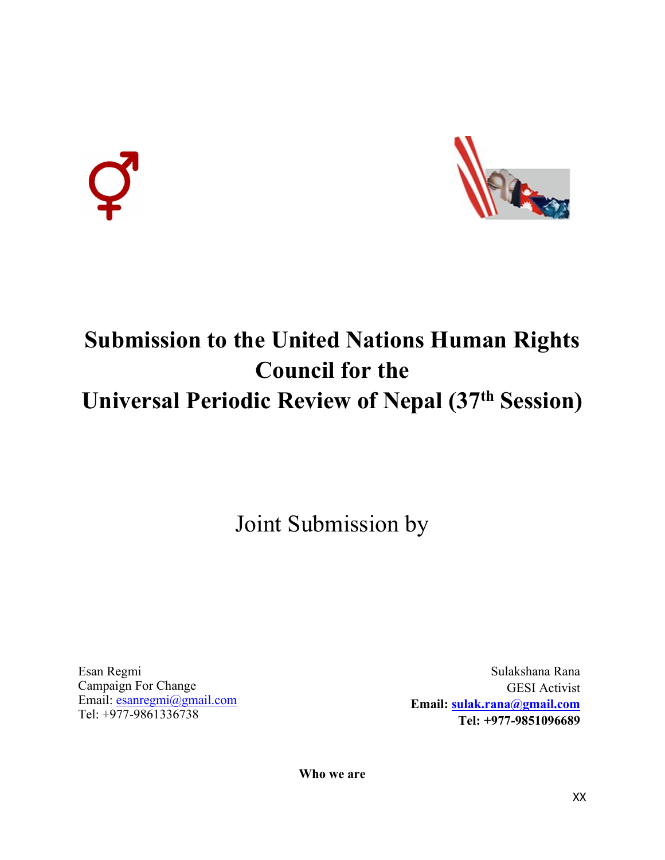

# **Submission to the United Nations Human Rights Council for the Universal Periodic Review of Nepal (37th Session)**

Joint Submission by

Esan Regmi Campaign For Change Email: esanregm[i@gmail.com](mailto:esanregmi@gmail.com) Tel: +977-9861336738

Sulakshana Rana GESI Activist **Email: [sulak.rana@gmail.com](mailto:sulak.rana@gmail.com) Tel: +977-9851096689**

**Who we are**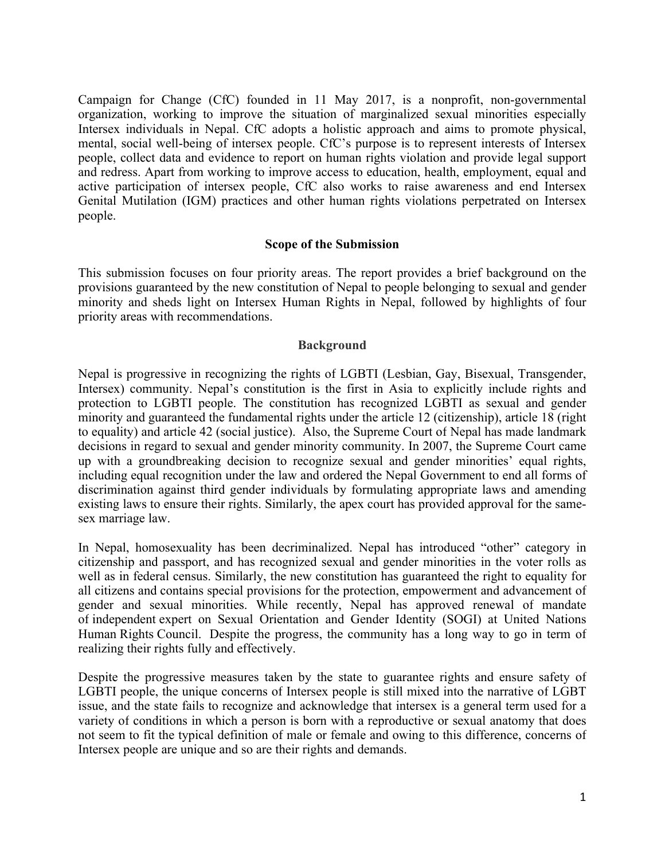Campaign for Change (CfC) founded in 11 May 2017, is <sup>a</sup> nonprofit, non-governmental organization, working to improve the situation of marginalized sexual minorities especially Intersex individuals in Nepal. CfC adopts <sup>a</sup> holistic approach and aims to promote physical, mental, social well-being of intersex people. CfC'<sup>s</sup> purpose is to represen<sup>t</sup> interests of Intersex people, collect data and evidence to repor<sup>t</sup> on human rights violation and provide legal suppor<sup>t</sup> and redress. Apart from working to improve access to education, health, employment, equal and active participation of intersex people, CfC also works to raise awareness and end Intersex Genital Mutilation (IGM) practices and other human rights violations perpetrated on Intersex people.

#### **Scope of the Submission**

This submission focuses on four priority areas. The repor<sup>t</sup> provides <sup>a</sup> brief background on the provisions guaranteed by the new constitution of Nepal to people belonging to sexual and gender minority and sheds light on Intersex Human Rights in Nepal, followed by highlights of four priority areas with recommendations.

#### **Background**

Nepal is progressive in recognizing the rights of LGBTI (Lesbian, Gay, Bisexual, Transgender, Intersex) community. Nepal'<sup>s</sup> constitution is the first in Asia to explicitly include rights and protection to LGBTI people. The constitution has recognized LGBTI as sexual and gender minority and guaranteed the fundamental rights under the article 12 (citizenship), article 18 (right to equality) and article 42 (social justice). Also, the Supreme Court of Nepal has made landmark decisions in regard to sexual and gender minority community. In 2007, the Supreme Court came up with <sup>a</sup> groundbreaking decision to recognize sexual and gender minorities' equal rights, including equal recognition under the law and ordered the Nepal Government to end all forms of discrimination against third gender individuals by formulating appropriate laws and amending existing laws to ensure their rights. Similarly, the apex court has provided approval for the samesex marriage law.

In Nepal, homosexuality has been decriminalized. Nepal has introduced "other" category in citizenship and passport, and has recognized sexual and gender minorities in the voter rolls as well as in federal census. Similarly, the new constitution has guaranteed the right to equality for all citizens and contains special provisions for the protection, empowermen<sup>t</sup> and advancement of gender and sexual minorities. While recently, Nepal has approved renewal of mandate of independent exper<sup>t</sup> on Sexual Orientation and Gender Identity (SOGI) at United Nations Human Rights Council. Despite the progress, the community has <sup>a</sup> long way to go in term of realizing their rights fully and effectively.

Despite the progressive measures taken by the state to guarantee rights and ensure safety of LGBTI people, the unique concerns of Intersex people is still mixed into the narrative of LGBT issue, and the state fails to recognize and acknowledge that intersex is <sup>a</sup> general term used for <sup>a</sup> variety of conditions in which <sup>a</sup> person is born with <sup>a</sup> reproductive or sexual anatomy that does not seem to fit the typical definition of male or female and owing to this difference, concerns of Intersex people are unique and so are their rights and demands.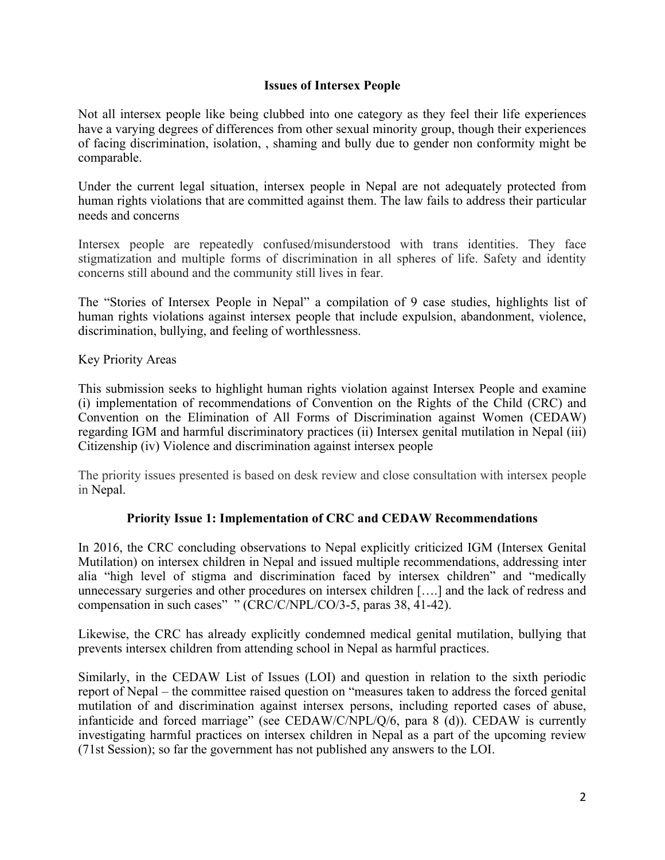### **Issues of Intersex People**

Not all intersex people like being clubbed into one category as they feel their life experiences have <sup>a</sup> varying degrees of differences from other sexual minority group, though their experiences of facing discrimination, isolation, , shaming and bully due to gender non conformity might be comparable.

Under the current legal situation, intersex people in Nepal are not adequately protected from human rights violations that are committed against them. The law fails to address their particular needs and concerns

Intersex people are repeatedly confused/misunderstood with trans identities. They face stigmatization and multiple forms of discrimination in all spheres of life. Safety and identity concerns still abound and the community still lives in fear.

The "Stories of Intersex People in Nepal" <sup>a</sup> compilation of 9 case studies, highlights list of human rights violations against intersex people that include expulsion, abandonment, violence, discrimination, bullying, and feeling of worthlessness.

Key Priority Areas

This submission seeks to highlight human rights violation against Intersex People and examine (i) implementation of recommendations of Convention on the Rights of the Child (CRC) and Convention on the Elimination of All Forms of Discrimination against Women (CEDAW) regarding IGM and harmful discriminatory practices (ii) Intersex genital mutilation in Nepal (iii) Citizenship (iv) Violence and discrimination against intersex people

The priority issues presented is based on desk review and close consultation with intersex people in Nepal.

#### **Priority Issue 1: Implementation of CRC and CEDAW Recommendations**

In 2016, the CRC concluding observations to Nepal explicitly criticized IGM (Intersex Genital Mutilation) on intersex children in Nepal and issued multiple recommendations, addressing inter alia "high level of stigma and discrimination faced by intersex children" and "medically unnecessary surgeries and other procedures on intersex children [….] and the lack of redress and compensation in such cases" " (CRC/C/NPL/CO/3-5, paras 38, 41-42).

Likewise, the CRC has already explicitly condemned medical genital mutilation, bullying that prevents intersex children from attending school in Nepal as harmful practices.

Similarly, in the CEDAW List of Issues (LOI) and question in relation to the sixth periodic repor<sup>t</sup> of Nepal – the committee raised question on "measures taken to address the forced genital mutilation of and discrimination against intersex persons, including reported cases of abuse, infanticide and forced marriage" (see CEDAW/C/NPL/Q/6, para 8 (d)). CEDAW is currently investigating harmful practices on intersex children in Nepal as <sup>a</sup> par<sup>t</sup> of the upcoming review (71st Session); so far the governmen<sup>t</sup> has not published any answers to the LOI.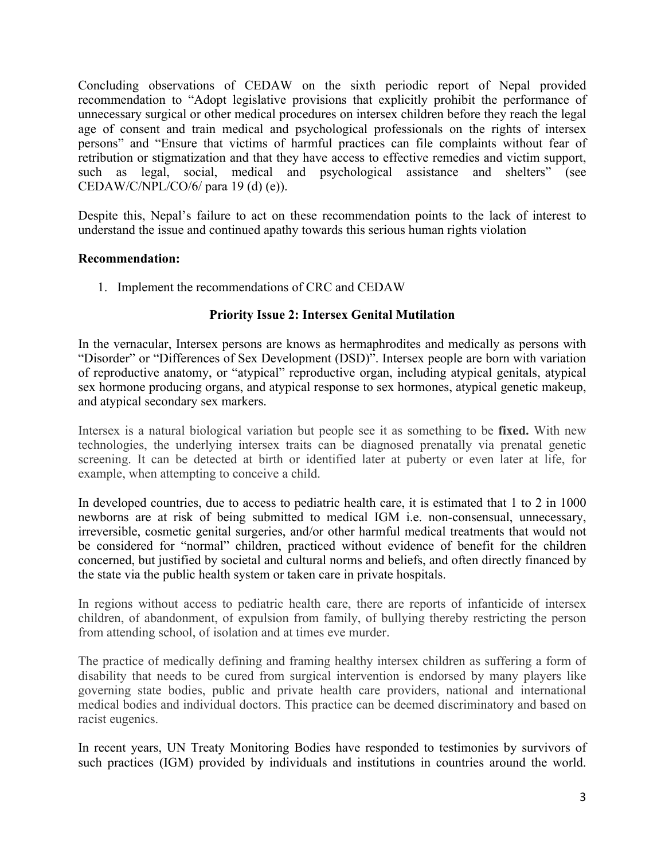Concluding observations of CEDAW on the sixth periodic repor<sup>t</sup> of Nepal provided recommendation to "Adopt legislative provisions that explicitly prohibit the performance of unnecessary surgical or other medical procedures on intersex children before they reach the legal age of consent and train medical and psychological professionals on the rights of intersex persons" and "Ensure that victims of harmful practices can file complaints without fear of retribution or stigmatization and that they have access to effective remedies and victim support, such as legal, social, medical and psychological assistance and shelters" (see CEDAW/C/NPL/CO/6/ para 19 $(d)$  $(e)$ ).

Despite this, Nepal'<sup>s</sup> failure to act on these recommendation points to the lack of interest to understand the issue and continued apathy towards this serious human rights violation

#### **Recommendation:**

1. Implement the recommendations of CRC and CEDAW

#### **Priority Issue 2: Intersex Genital Mutilation**

In the vernacular, Intersex persons are knows as hermaphrodites and medically as persons with "Disorder" or "Differences of Sex Development (DSD)". Intersex people are born with variation of reproductive anatomy, or "atypical" reproductive organ, including atypical genitals, atypical sex hormone producing organs, and atypical response to sex hormones, atypical genetic makeup, and atypical secondary sex markers.

Intersex is <sup>a</sup> natural biological variation but people see it as something to be **fixed.** With new technologies, the underlying intersex traits can be diagnosed prenatally via prenatal genetic screening. It can be detected at birth or identified later at puberty or even later at life, for example, when attempting to conceive <sup>a</sup> child.

In developed countries, due to access to pediatric health care, it is estimated that 1 to 2 in 1000 newborns are at risk of being submitted to medical IGM i.e. non-consensual, unnecessary, irreversible, cosmetic genital surgeries, and/or other harmful medical treatments that would not be considered for "normal" children, practiced without evidence of benefit for the children concerned, but justified by societal and cultural norms and beliefs, and often directly financed by the state via the public health system or taken care in private hospitals.

In regions without access to pediatric health care, there are reports of infanticide of intersex children, of abandonment, of expulsion from family, of bullying thereby restricting the person from attending school, of isolation and at times eve murder.

The practice of medically defining and framing healthy intersex children as suffering <sup>a</sup> form of disability that needs to be cured from surgical intervention is endorsed by many players like governing state bodies, public and private health care providers, national and international medical bodies and individual doctors. This practice can be deemed discriminatory and based on racist eugenics.

In recent years, UN Treaty Monitoring Bodies have responded to testimonies by survivors of such practices (IGM) provided by individuals and institutions in countries around the world.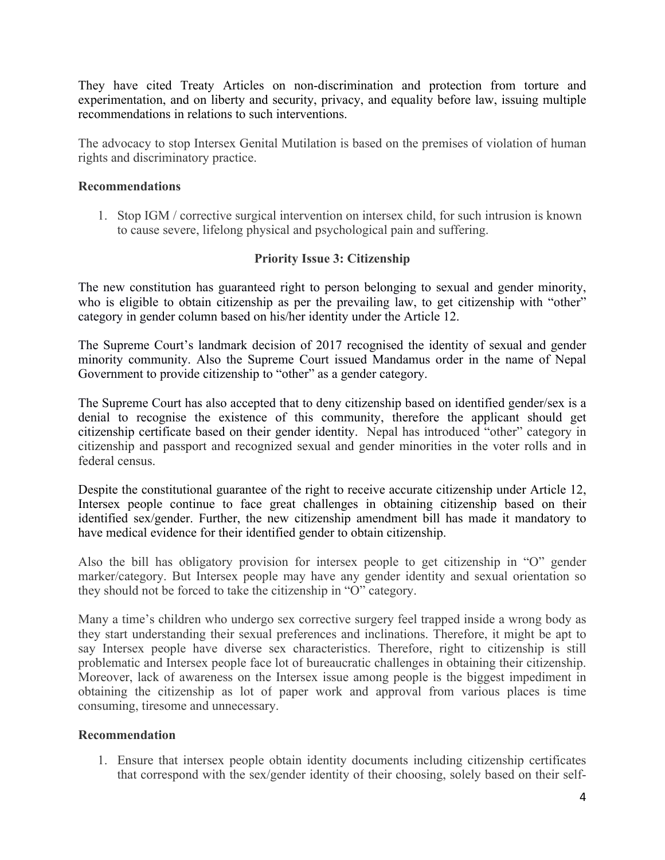They have cited Treaty Articles on non-discrimination and protection from torture and experimentation, and on liberty and security, privacy, and equality before law, issuing multiple recommendations in relations to such interventions.

The advocacy to stop Intersex Genital Mutilation is based on the premises of violation of human rights and discriminatory practice.

#### **Recommendations**

1. Stop IGM / corrective surgical intervention on intersex child, for such intrusion is known to cause severe, lifelong physical and psychological pain and suffering.

#### **Priority Issue 3: Citizenship**

The new constitution has guaranteed right to person belonging to sexual and gender minority, who is eligible to obtain citizenship as per the prevailing law, to get citizenship with "other" category in gender column based on his/her identity under the Article 12.

The Supreme Court'<sup>s</sup> landmark decision of 2017 recognised the identity of sexual and gender minority community. Also the Supreme Court issued Mandamus order in the name of Nepal Government to provide citizenship to "other" as <sup>a</sup> gender category.

The Supreme Court has also accepted that to deny citizenship based on identified gender/sex is <sup>a</sup> denial to recognise the existence of this community, therefore the applicant should ge<sup>t</sup> citizenship certificate based on their gender identity. Nepal has introduced "other" category in citizenship and passpor<sup>t</sup> and recognized sexual and gender minorities in the voter rolls and in federal census.

Despite the constitutional guarantee of the right to receive accurate citizenship under Article 12, Intersex people continue to face grea<sup>t</sup> challenges in obtaining citizenship based on their identified sex/gender. Further, the new citizenship amendment bill has made it mandatory to have medical evidence for their identified gender to obtain citizenship.

Also the bill has obligatory provision for intersex people to ge<sup>t</sup> citizenship in "O" gender marker/category. But Intersex people may have any gender identity and sexual orientation so they should not be forced to take the citizenship in "O" category.

Many <sup>a</sup> time'<sup>s</sup> children who undergo sex corrective surgery feel trapped inside <sup>a</sup> wrong body as they start understanding their sexual preferences and inclinations. Therefore, it might be ap<sup>t</sup> to say Intersex people have diverse sex characteristics. Therefore, right to citizenship is still problematic and Intersex people face lot of bureaucratic challenges in obtaining their citizenship. Moreover, lack of awareness on the Intersex issue among people is the biggest impediment in obtaining the citizenship as lot of paper work and approval from various places is time consuming, tiresome and unnecessary.

#### **Recommendation**

1. Ensure that intersex people obtain identity documents including citizenship certificates that correspond with the sex/gender identity of their choosing, solely based on their self